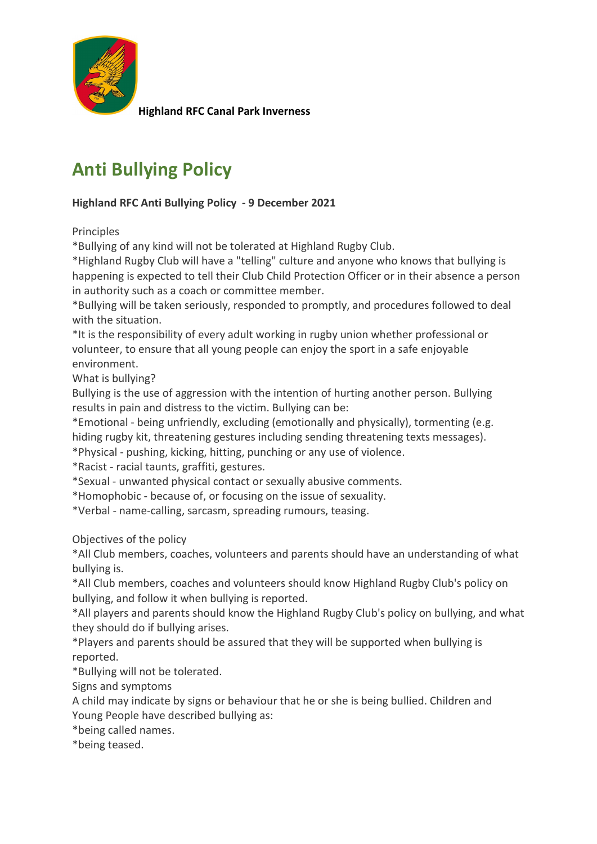

**Highland RFC Canal Park Inverness**

## **Anti Bullying Policy**

## **Highland RFC Anti Bullying Policy - 9 December 2021**

Principles

\*Bullying of any kind will not be tolerated at Highland Rugby Club.

\*Highland Rugby Club will have a "telling" culture and anyone who knows that bullying is happening is expected to tell their Club Child Protection Officer or in their absence a person in authority such as a coach or committee member.

\*Bullying will be taken seriously, responded to promptly, and procedures followed to deal with the situation.

\*It is the responsibility of every adult working in rugby union whether professional or volunteer, to ensure that all young people can enjoy the sport in a safe enjoyable environment.

What is bullying?

Bullying is the use of aggression with the intention of hurting another person. Bullying results in pain and distress to the victim. Bullying can be:

\*Emotional - being unfriendly, excluding (emotionally and physically), tormenting (e.g. hiding rugby kit, threatening gestures including sending threatening texts messages).

\*Physical - pushing, kicking, hitting, punching or any use of violence.

\*Racist - racial taunts, graffiti, gestures.

\*Sexual - unwanted physical contact or sexually abusive comments.

\*Homophobic - because of, or focusing on the issue of sexuality.

\*Verbal - name-calling, sarcasm, spreading rumours, teasing.

Objectives of the policy

\*All Club members, coaches, volunteers and parents should have an understanding of what bullying is.

\*All Club members, coaches and volunteers should know Highland Rugby Club's policy on bullying, and follow it when bullying is reported.

\*All players and parents should know the Highland Rugby Club's policy on bullying, and what they should do if bullying arises.

\*Players and parents should be assured that they will be supported when bullying is reported.

\*Bullying will not be tolerated.

Signs and symptoms

A child may indicate by signs or behaviour that he or she is being bullied. Children and Young People have described bullying as:

\*being called names.

\*being teased.